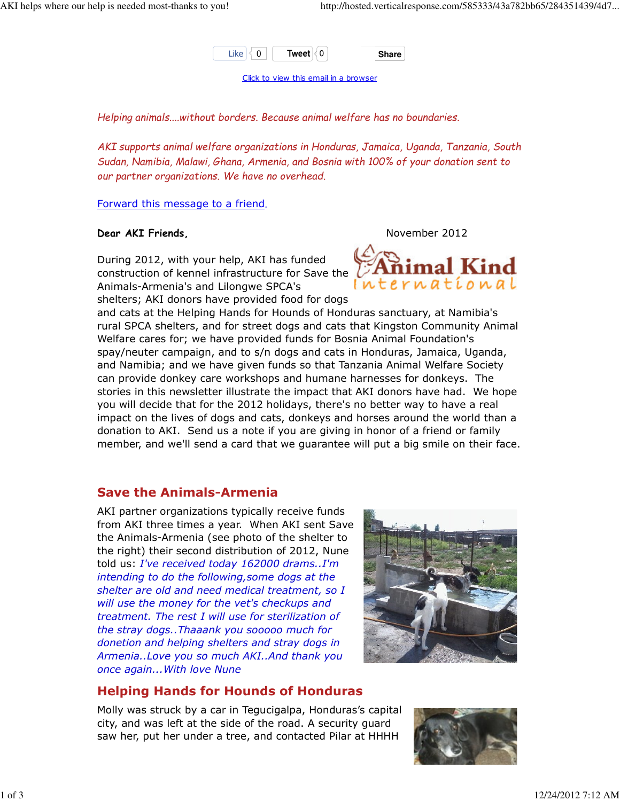

Click to view this email in a browser

Helping animals....without borders. Because animal welfare has no boundaries.

AKI supports animal welfare organizations in Honduras, Jamaica, Uganda, Tanzania, South Sudan, Namibia, Malawi, Ghana, Armenia, and Bosnia with 100% of your donation sent to our partner organizations. We have no overhead.

Forward this message to a friend.

#### Dear AKI Friends, November 2012

During 2012, with your help, AKI has funded construction of kennel infrastructure for Save the Animals-Armenia's and Lilongwe SPCA's shelters; AKI donors have provided food for dogs



and cats at the Helping Hands for Hounds of Honduras sanctuary, at Namibia's rural SPCA shelters, and for street dogs and cats that Kingston Community Animal Welfare cares for; we have provided funds for Bosnia Animal Foundation's spay/neuter campaign, and to s/n dogs and cats in Honduras, Jamaica, Uganda, and Namibia; and we have given funds so that Tanzania Animal Welfare Society can provide donkey care workshops and humane harnesses for donkeys. The stories in this newsletter illustrate the impact that AKI donors have had. We hope you will decide that for the 2012 holidays, there's no better way to have a real impact on the lives of dogs and cats, donkeys and horses around the world than a donation to AKI. Send us a note if you are giving in honor of a friend or family member, and we'll send a card that we guarantee will put a big smile on their face.

# Save the Animals-Armenia

AKI partner organizations typically receive funds from AKI three times a year. When AKI sent Save the Animals-Armenia (see photo of the shelter to the right) their second distribution of 2012, Nune told us: I've received today 162000 drams..I'm intending to do the following,some dogs at the shelter are old and need medical treatment, so I will use the money for the vet's checkups and treatment. The rest I will use for sterilization of the stray dogs..Thaaank you sooooo much for donetion and helping shelters and stray dogs in Armenia..Love you so much AKI..And thank you once again...With love Nune



# Helping Hands for Hounds of Honduras

Molly was struck by a car in Tegucigalpa, Honduras's capital city, and was left at the side of the road. A security guard saw her, put her under a tree, and contacted Pilar at HHHH

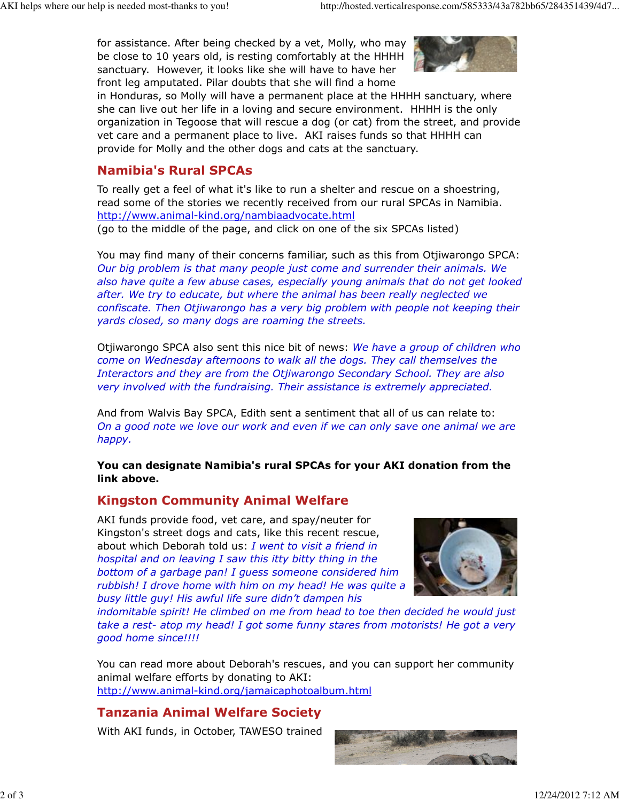for assistance. After being checked by a vet, Molly, who may be close to 10 years old, is resting comfortably at the HHHH sanctuary. However, it looks like she will have to have her front leg amputated. Pilar doubts that she will find a home



in Honduras, so Molly will have a permanent place at the HHHH sanctuary, where she can live out her life in a loving and secure environment. HHHH is the only organization in Tegoose that will rescue a dog (or cat) from the street, and provide vet care and a permanent place to live. AKI raises funds so that HHHH can provide for Molly and the other dogs and cats at the sanctuary.

# Namibia's Rural SPCAs

To really get a feel of what it's like to run a shelter and rescue on a shoestring, read some of the stories we recently received from our rural SPCAs in Namibia. http://www.animal-kind.org/nambiaadvocate.html (go to the middle of the page, and click on one of the six SPCAs listed)

You may find many of their concerns familiar, such as this from Otjiwarongo SPCA: Our big problem is that many people just come and surrender their animals. We also have quite a few abuse cases, especially young animals that do not get looked after. We try to educate, but where the animal has been really neglected we confiscate. Then Otjiwarongo has a very big problem with people not keeping their yards closed, so many dogs are roaming the streets.

Otjiwarongo SPCA also sent this nice bit of news: We have a group of children who come on Wednesday afternoons to walk all the dogs. They call themselves the Interactors and they are from the Otjiwarongo Secondary School. They are also very involved with the fundraising. Their assistance is extremely appreciated.

And from Walvis Bay SPCA, Edith sent a sentiment that all of us can relate to: On a good note we love our work and even if we can only save one animal we are happy.

You can designate Namibia's rural SPCAs for your AKI donation from the link above.

# Kingston Community Animal Welfare

AKI funds provide food, vet care, and spay/neuter for Kingston's street dogs and cats, like this recent rescue, about which Deborah told us: I went to visit a friend in hospital and on leaving I saw this itty bitty thing in the bottom of a garbage pan! I guess someone considered him rubbish! I drove home with him on my head! He was quite a busy little guy! His awful life sure didn't dampen his



indomitable spirit! He climbed on me from head to toe then decided he would just take a rest- atop my head! I got some funny stares from motorists! He got a very good home since!!!!

You can read more about Deborah's rescues, and you can support her community animal welfare efforts by donating to AKI: http://www.animal-kind.org/jamaicaphotoalbum.html

# Tanzania Animal Welfare Society

With AKI funds, in October, TAWESO trained